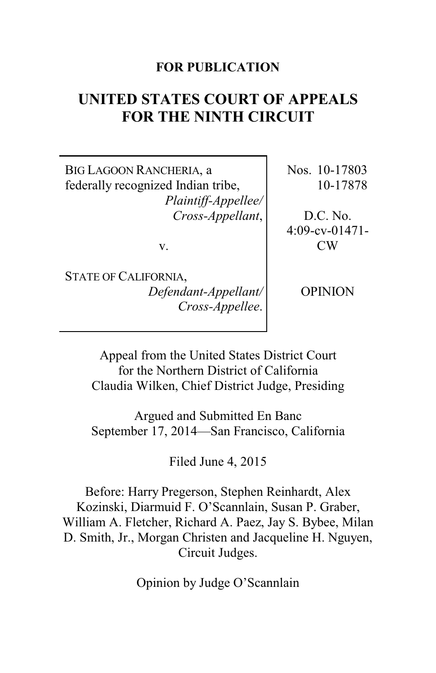## **FOR PUBLICATION**

# **UNITED STATES COURT OF APPEALS FOR THE NINTH CIRCUIT**

BIG LAGOON RANCHERIA, a federally recognized Indian tribe, *Plaintiff-Appellee/ Cross-Appellant*,

v.

Nos. 10-17803 10-17878

D.C. No. 4:09-cv-01471- CW

STATE OF CALIFORNIA, *Defendant-Appellant/ Cross-Appellee*.

OPINION

Appeal from the United States District Court for the Northern District of California Claudia Wilken, Chief District Judge, Presiding

Argued and Submitted En Banc September 17, 2014—San Francisco, California

Filed June 4, 2015

Before: Harry Pregerson, Stephen Reinhardt, Alex Kozinski, Diarmuid F. O'Scannlain, Susan P. Graber, William A. Fletcher, Richard A. Paez, Jay S. Bybee, Milan D. Smith, Jr., Morgan Christen and Jacqueline H. Nguyen, Circuit Judges.

Opinion by Judge O'Scannlain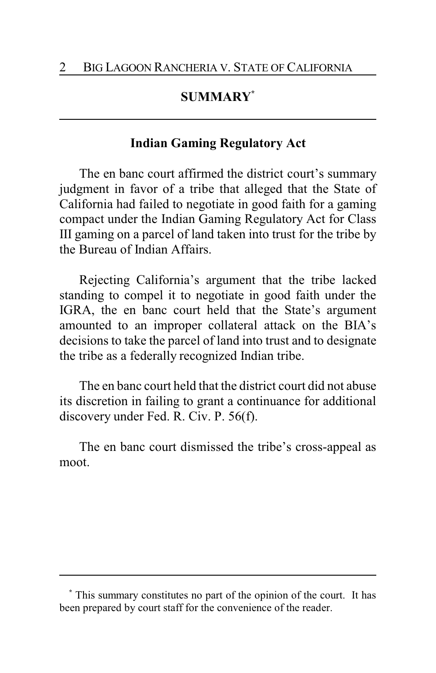# **SUMMARY\***

## **Indian Gaming Regulatory Act**

The en banc court affirmed the district court's summary judgment in favor of a tribe that alleged that the State of California had failed to negotiate in good faith for a gaming compact under the Indian Gaming Regulatory Act for Class III gaming on a parcel of land taken into trust for the tribe by the Bureau of Indian Affairs.

Rejecting California's argument that the tribe lacked standing to compel it to negotiate in good faith under the IGRA, the en banc court held that the State's argument amounted to an improper collateral attack on the BIA's decisions to take the parcel of land into trust and to designate the tribe as a federally recognized Indian tribe.

The en banc court held that the district court did not abuse its discretion in failing to grant a continuance for additional discovery under Fed. R. Civ. P. 56(f).

The en banc court dismissed the tribe's cross-appeal as moot.

**<sup>\*</sup>** This summary constitutes no part of the opinion of the court. It has been prepared by court staff for the convenience of the reader.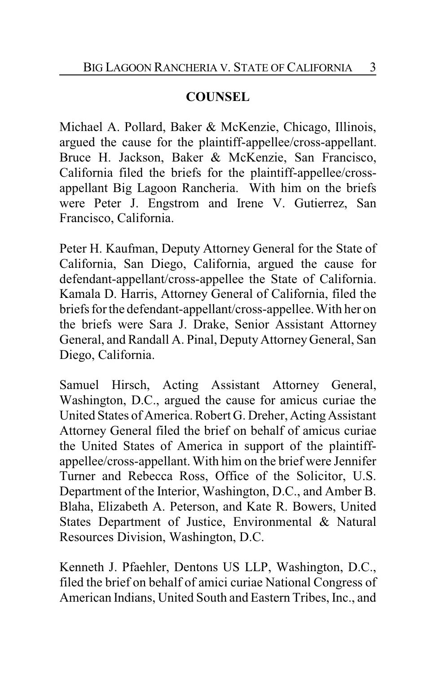# **COUNSEL**

Michael A. Pollard, Baker & McKenzie, Chicago, Illinois, argued the cause for the plaintiff-appellee/cross-appellant. Bruce H. Jackson, Baker & McKenzie, San Francisco, California filed the briefs for the plaintiff-appellee/crossappellant Big Lagoon Rancheria. With him on the briefs were Peter J. Engstrom and Irene V. Gutierrez, San Francisco, California.

Peter H. Kaufman, Deputy Attorney General for the State of California, San Diego, California, argued the cause for defendant-appellant/cross-appellee the State of California. Kamala D. Harris, Attorney General of California, filed the briefs for the defendant-appellant/cross-appellee. With her on the briefs were Sara J. Drake, Senior Assistant Attorney General, and Randall A. Pinal, Deputy Attorney General, San Diego, California.

Samuel Hirsch, Acting Assistant Attorney General, Washington, D.C., argued the cause for amicus curiae the United States of America. Robert G. Dreher, ActingAssistant Attorney General filed the brief on behalf of amicus curiae the United States of America in support of the plaintiffappellee/cross-appellant. With him on the brief were Jennifer Turner and Rebecca Ross, Office of the Solicitor, U.S. Department of the Interior, Washington, D.C., and Amber B. Blaha, Elizabeth A. Peterson, and Kate R. Bowers, United States Department of Justice, Environmental & Natural Resources Division, Washington, D.C.

Kenneth J. Pfaehler, Dentons US LLP, Washington, D.C., filed the brief on behalf of amici curiae National Congress of American Indians, United South and Eastern Tribes, Inc., and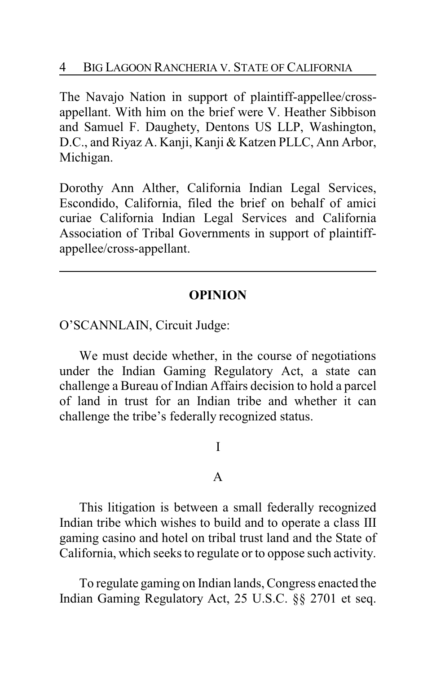The Navajo Nation in support of plaintiff-appellee/crossappellant. With him on the brief were V. Heather Sibbison and Samuel F. Daughety, Dentons US LLP, Washington, D.C., and Riyaz A. Kanji, Kanji & Katzen PLLC, Ann Arbor, Michigan.

Dorothy Ann Alther, California Indian Legal Services, Escondido, California, filed the brief on behalf of amici curiae California Indian Legal Services and California Association of Tribal Governments in support of plaintiffappellee/cross-appellant.

## **OPINION**

O'SCANNLAIN, Circuit Judge:

We must decide whether, in the course of negotiations under the Indian Gaming Regulatory Act, a state can challenge a Bureau of Indian Affairs decision to hold a parcel of land in trust for an Indian tribe and whether it can challenge the tribe's federally recognized status.

## I

### A

This litigation is between a small federally recognized Indian tribe which wishes to build and to operate a class III gaming casino and hotel on tribal trust land and the State of California, which seeks to regulate or to oppose such activity.

To regulate gaming on Indian lands, Congress enacted the Indian Gaming Regulatory Act, 25 U.S.C. §§ 2701 et seq.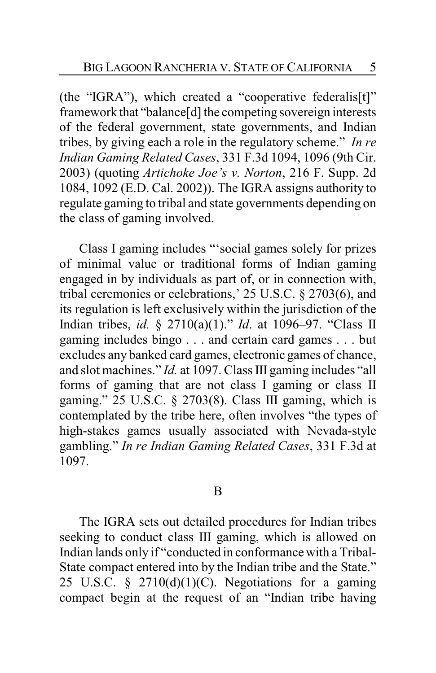(the "IGRA"), which created a "cooperative federalis[t]" framework that "balance[d] the competing sovereign interests of the federal government, state governments, and Indian tribes, by giving each a role in the regulatory scheme." *In re Indian Gaming Related Cases*, 331 F.3d 1094, 1096 (9th Cir. 2003) (quoting *Artichoke Joe's v. Norton*, 216 F. Supp. 2d 1084, 1092 (E.D. Cal. 2002)). The IGRA assigns authority to regulate gaming to tribal and state governments depending on the class of gaming involved.

Class I gaming includes "'social games solely for prizes of minimal value or traditional forms of Indian gaming engaged in by individuals as part of, or in connection with, tribal ceremonies or celebrations,' 25 U.S.C. § 2703(6), and its regulation is left exclusively within the jurisdiction of the Indian tribes, *id.* § 2710(a)(1)." *Id*. at 1096–97. "Class II gaming includes bingo . . . and certain card games . . . but excludes any banked card games, electronic games of chance, and slot machines." *Id.* at 1097. Class III gaming includes "all forms of gaming that are not class I gaming or class II gaming." 25 U.S.C. § 2703(8). Class III gaming, which is contemplated by the tribe here, often involves "the types of high-stakes games usually associated with Nevada-style gambling." *In re Indian Gaming Related Cases*, 331 F.3d at 1097.

#### B

The IGRA sets out detailed procedures for Indian tribes seeking to conduct class III gaming, which is allowed on Indian lands only if "conducted in conformance with a Tribal-State compact entered into by the Indian tribe and the State." 25 U.S.C.  $\frac{1}{2}$  2710(d)(1)(C). Negotiations for a gaming compact begin at the request of an "Indian tribe having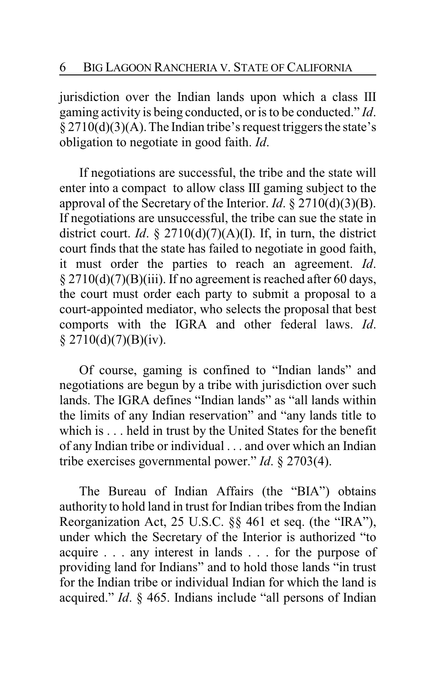jurisdiction over the Indian lands upon which a class III gaming activity is being conducted, or is to be conducted." *Id*.  $\S 2710(d)(3)(A)$ . The Indian tribe's request triggers the state's obligation to negotiate in good faith. *Id*.

If negotiations are successful, the tribe and the state will enter into a compact to allow class III gaming subject to the approval of the Secretary of the Interior. *Id*. § 2710(d)(3)(B). If negotiations are unsuccessful, the tribe can sue the state in district court. *Id*. § 2710(d)(7)(A)(I). If, in turn, the district court finds that the state has failed to negotiate in good faith, it must order the parties to reach an agreement. *Id*. § 2710(d)(7)(B)(iii). If no agreement is reached after 60 days, the court must order each party to submit a proposal to a court-appointed mediator, who selects the proposal that best comports with the IGRA and other federal laws. *Id*.  $$2710(d)(7)(B)(iv).$ 

Of course, gaming is confined to "Indian lands" and negotiations are begun by a tribe with jurisdiction over such lands. The IGRA defines "Indian lands" as "all lands within the limits of any Indian reservation" and "any lands title to which is . . . held in trust by the United States for the benefit of any Indian tribe or individual . . . and over which an Indian tribe exercises governmental power." *Id*. § 2703(4).

The Bureau of Indian Affairs (the "BIA") obtains authority to hold land in trust for Indian tribes from the Indian Reorganization Act, 25 U.S.C. §§ 461 et seq. (the "IRA"), under which the Secretary of the Interior is authorized "to acquire . . . any interest in lands . . . for the purpose of providing land for Indians" and to hold those lands "in trust for the Indian tribe or individual Indian for which the land is acquired." *Id*. § 465. Indians include "all persons of Indian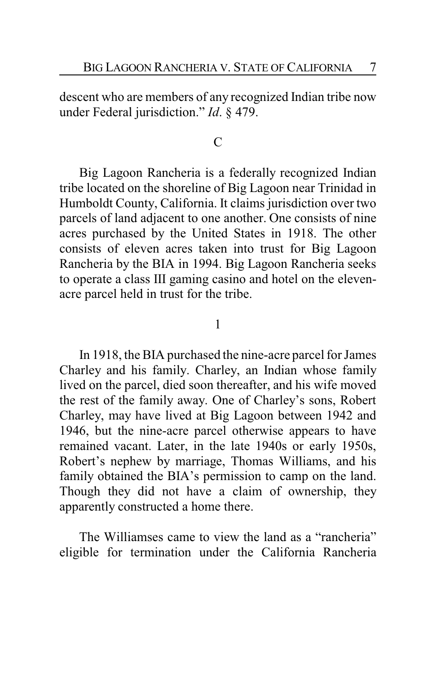descent who are members of any recognized Indian tribe now under Federal jurisdiction." *Id*. § 479.

### $\mathcal{C}$

Big Lagoon Rancheria is a federally recognized Indian tribe located on the shoreline of Big Lagoon near Trinidad in Humboldt County, California. It claims jurisdiction over two parcels of land adjacent to one another. One consists of nine acres purchased by the United States in 1918. The other consists of eleven acres taken into trust for Big Lagoon Rancheria by the BIA in 1994. Big Lagoon Rancheria seeks to operate a class III gaming casino and hotel on the elevenacre parcel held in trust for the tribe.

#### 1

In 1918, the BIA purchased the nine-acre parcel for James Charley and his family. Charley, an Indian whose family lived on the parcel, died soon thereafter, and his wife moved the rest of the family away. One of Charley's sons, Robert Charley, may have lived at Big Lagoon between 1942 and 1946, but the nine-acre parcel otherwise appears to have remained vacant. Later, in the late 1940s or early 1950s, Robert's nephew by marriage, Thomas Williams, and his family obtained the BIA's permission to camp on the land. Though they did not have a claim of ownership, they apparently constructed a home there.

The Williamses came to view the land as a "rancheria" eligible for termination under the California Rancheria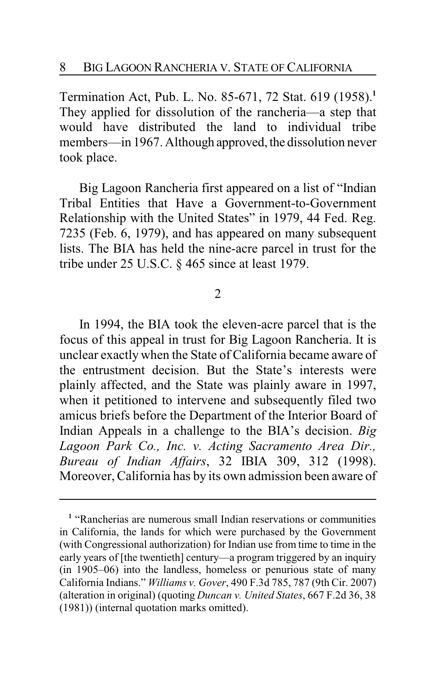Termination Act, Pub. L. No. 85-671, 72 Stat. 619 (1958).**<sup>1</sup>** They applied for dissolution of the rancheria—a step that would have distributed the land to individual tribe members—in 1967. Although approved, the dissolution never took place.

Big Lagoon Rancheria first appeared on a list of "Indian Tribal Entities that Have a Government-to-Government Relationship with the United States" in 1979, 44 Fed. Reg. 7235 (Feb. 6, 1979), and has appeared on many subsequent lists. The BIA has held the nine-acre parcel in trust for the tribe under 25 U.S.C. § 465 since at least 1979.

2

In 1994, the BIA took the eleven-acre parcel that is the focus of this appeal in trust for Big Lagoon Rancheria. It is unclear exactly when the State of California became aware of the entrustment decision. But the State's interests were plainly affected, and the State was plainly aware in 1997, when it petitioned to intervene and subsequently filed two amicus briefs before the Department of the Interior Board of Indian Appeals in a challenge to the BIA's decision. *Big Lagoon Park Co., Inc. v. Acting Sacramento Area Dir., Bureau of Indian Affairs*, 32 IBIA 309, 312 (1998). Moreover, California has by its own admission been aware of

**<sup>1</sup>** "Rancherias are numerous small Indian reservations or communities in California, the lands for which were purchased by the Government (with Congressional authorization) for Indian use from time to time in the early years of [the twentieth] century—a program triggered by an inquiry (in 1905–06) into the landless, homeless or penurious state of many California Indians." *Williams v. Gover*, 490 F.3d 785, 787 (9th Cir. 2007) (alteration in original) (quoting *Duncan v. United States*, 667 F.2d 36, 38 (1981)) (internal quotation marks omitted).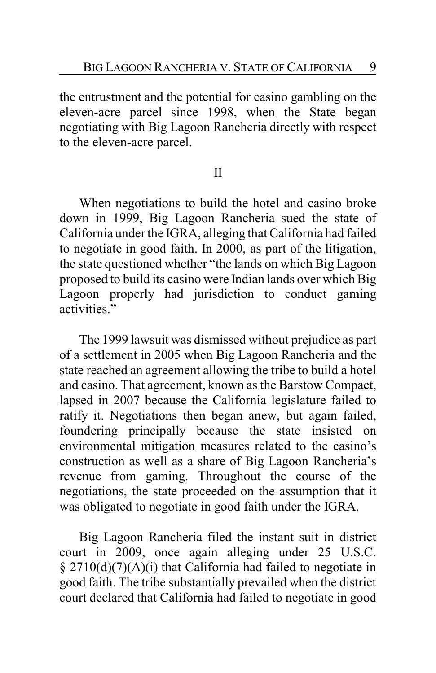the entrustment and the potential for casino gambling on the eleven-acre parcel since 1998, when the State began negotiating with Big Lagoon Rancheria directly with respect to the eleven-acre parcel.

## II

When negotiations to build the hotel and casino broke down in 1999, Big Lagoon Rancheria sued the state of California under the IGRA, alleging that California had failed to negotiate in good faith. In 2000, as part of the litigation, the state questioned whether "the lands on which Big Lagoon proposed to build its casino were Indian lands over which Big Lagoon properly had jurisdiction to conduct gaming activities."

The 1999 lawsuit was dismissed without prejudice as part of a settlement in 2005 when Big Lagoon Rancheria and the state reached an agreement allowing the tribe to build a hotel and casino. That agreement, known as the Barstow Compact, lapsed in 2007 because the California legislature failed to ratify it. Negotiations then began anew, but again failed, foundering principally because the state insisted on environmental mitigation measures related to the casino's construction as well as a share of Big Lagoon Rancheria's revenue from gaming. Throughout the course of the negotiations, the state proceeded on the assumption that it was obligated to negotiate in good faith under the IGRA.

Big Lagoon Rancheria filed the instant suit in district court in 2009, once again alleging under 25 U.S.C. § 2710(d)(7)(A)(i) that California had failed to negotiate in good faith. The tribe substantially prevailed when the district court declared that California had failed to negotiate in good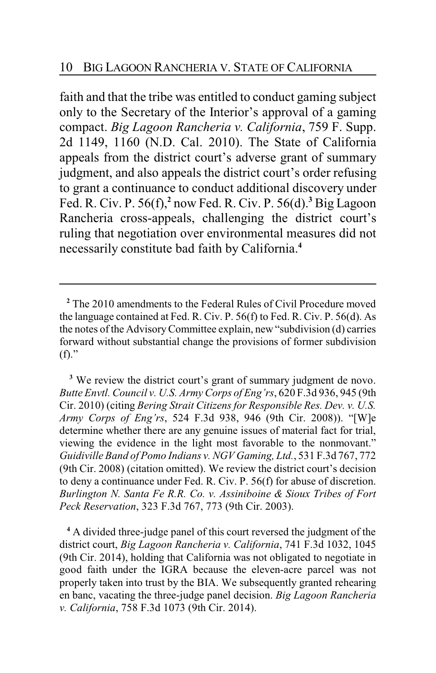faith and that the tribe was entitled to conduct gaming subject only to the Secretary of the Interior's approval of a gaming compact. *Big Lagoon Rancheria v. California*, 759 F. Supp. 2d 1149, 1160 (N.D. Cal. 2010). The State of California appeals from the district court's adverse grant of summary judgment, and also appeals the district court's order refusing to grant a continuance to conduct additional discovery under Fed. R. Civ. P. 56(f),**<sup>2</sup>** now Fed. R. Civ. P. 56(d).**<sup>3</sup>** Big Lagoon Rancheria cross-appeals, challenging the district court's ruling that negotiation over environmental measures did not necessarily constitute bad faith by California.**<sup>4</sup>**

<sup>3</sup> We review the district court's grant of summary judgment de novo. *Butte Envtl. Council v. U.S. Army Corps of Eng'rs*, 620 F.3d 936, 945 (9th Cir. 2010) (citing *Bering Strait Citizens for Responsible Res. Dev. v. U.S. Army Corps of Eng'rs*, 524 F.3d 938, 946 (9th Cir. 2008)). "[W]e determine whether there are any genuine issues of material fact for trial, viewing the evidence in the light most favorable to the nonmovant." *Guidiville Band of Pomo Indians v. NGV Gaming, Ltd.*, 531 F.3d 767, 772 (9th Cir. 2008) (citation omitted). We review the district court's decision to deny a continuance under Fed. R. Civ. P. 56(f) for abuse of discretion. *Burlington N. Santa Fe R.R. Co. v. Assiniboine & Sioux Tribes of Fort Peck Reservation*, 323 F.3d 767, 773 (9th Cir. 2003).

**<sup>4</sup>** A divided three-judge panel of this court reversed the judgment of the district court, *Big Lagoon Rancheria v. California*, 741 F.3d 1032, 1045 (9th Cir. 2014), holding that California was not obligated to negotiate in good faith under the IGRA because the eleven-acre parcel was not properly taken into trust by the BIA. We subsequently granted rehearing en banc, vacating the three-judge panel decision. *Big Lagoon Rancheria v. California*, 758 F.3d 1073 (9th Cir. 2014).

**<sup>2</sup>** The 2010 amendments to the Federal Rules of Civil Procedure moved the language contained at Fed. R. Civ. P. 56(f) to Fed. R. Civ. P. 56(d). As the notes ofthe AdvisoryCommittee explain, new "subdivision (d) carries forward without substantial change the provisions of former subdivision  $(f)$ ."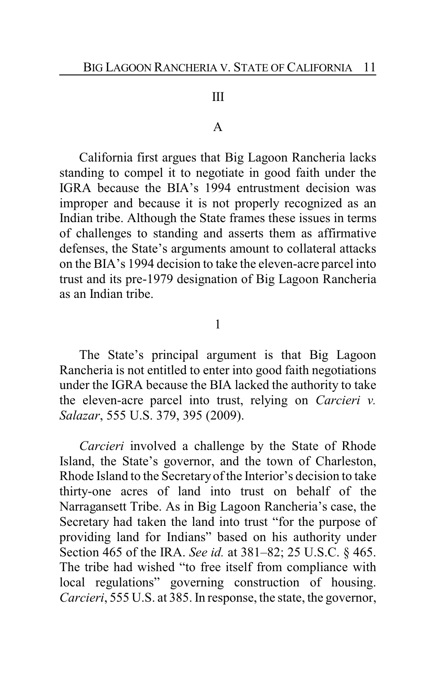#### III

#### A

California first argues that Big Lagoon Rancheria lacks standing to compel it to negotiate in good faith under the IGRA because the BIA's 1994 entrustment decision was improper and because it is not properly recognized as an Indian tribe. Although the State frames these issues in terms of challenges to standing and asserts them as affirmative defenses, the State's arguments amount to collateral attacks on the BIA's 1994 decision to take the eleven-acre parcel into trust and its pre-1979 designation of Big Lagoon Rancheria as an Indian tribe.

1

The State's principal argument is that Big Lagoon Rancheria is not entitled to enter into good faith negotiations under the IGRA because the BIA lacked the authority to take the eleven-acre parcel into trust, relying on *Carcieri v. Salazar*, 555 U.S. 379, 395 (2009).

*Carcieri* involved a challenge by the State of Rhode Island, the State's governor, and the town of Charleston, Rhode Island to the Secretaryof the Interior's decision to take thirty-one acres of land into trust on behalf of the Narragansett Tribe. As in Big Lagoon Rancheria's case, the Secretary had taken the land into trust "for the purpose of providing land for Indians" based on his authority under Section 465 of the IRA. *See id.* at 381–82; 25 U.S.C. § 465. The tribe had wished "to free itself from compliance with local regulations" governing construction of housing. *Carcieri*, 555 U.S. at 385. In response, the state, the governor,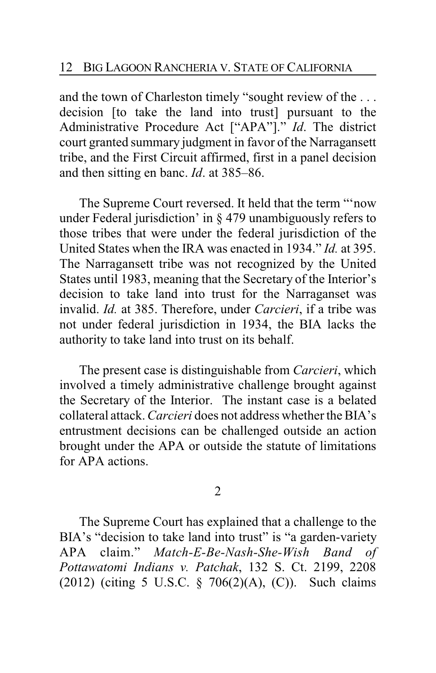and the town of Charleston timely "sought review of the . . . decision [to take the land into trust] pursuant to the Administrative Procedure Act ["APA"]." *Id*. The district court granted summary judgment in favor of the Narragansett tribe, and the First Circuit affirmed, first in a panel decision and then sitting en banc. *Id*. at 385–86.

The Supreme Court reversed. It held that the term "'now under Federal jurisdiction' in § 479 unambiguously refers to those tribes that were under the federal jurisdiction of the United States when the IRA was enacted in 1934." *Id.* at 395. The Narragansett tribe was not recognized by the United States until 1983, meaning that the Secretary of the Interior's decision to take land into trust for the Narraganset was invalid. *Id.* at 385. Therefore, under *Carcieri*, if a tribe was not under federal jurisdiction in 1934, the BIA lacks the authority to take land into trust on its behalf.

The present case is distinguishable from *Carcieri*, which involved a timely administrative challenge brought against the Secretary of the Interior. The instant case is a belated collateral attack. *Carcieri* does not address whether the BIA's entrustment decisions can be challenged outside an action brought under the APA or outside the statute of limitations for APA actions.

2

The Supreme Court has explained that a challenge to the BIA's "decision to take land into trust" is "a garden-variety APA claim." *Match-E-Be-Nash-She-Wish Band of Pottawatomi Indians v. Patchak*, 132 S. Ct. 2199, 2208 (2012) (citing 5 U.S.C. § 706(2)(A), (C)). Such claims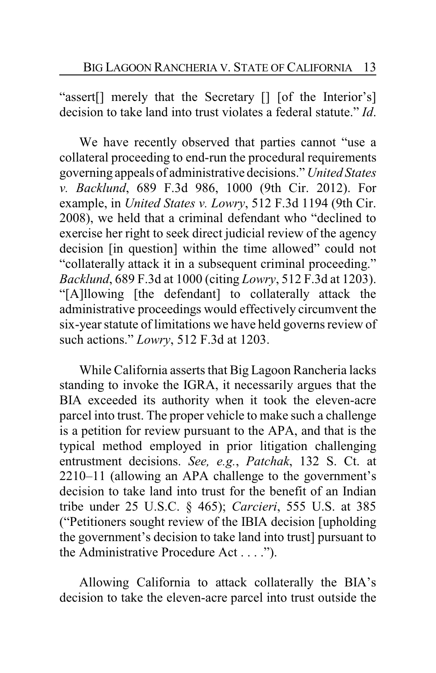"assert[] merely that the Secretary [] [of the Interior's] decision to take land into trust violates a federal statute." *Id*.

We have recently observed that parties cannot "use a collateral proceeding to end-run the procedural requirements governing appeals of administrative decisions." *United States v. Backlund*, 689 F.3d 986, 1000 (9th Cir. 2012). For example, in *United States v. Lowry*, 512 F.3d 1194 (9th Cir. 2008), we held that a criminal defendant who "declined to exercise her right to seek direct judicial review of the agency decision [in question] within the time allowed" could not "collaterally attack it in a subsequent criminal proceeding." *Backlund*, 689 F.3d at 1000 (citing *Lowry*, 512 F.3d at 1203). "[A]llowing [the defendant] to collaterally attack the administrative proceedings would effectively circumvent the six-year statute of limitations we have held governs review of such actions." *Lowry*, 512 F.3d at 1203.

While California asserts that Big Lagoon Rancheria lacks standing to invoke the IGRA, it necessarily argues that the BIA exceeded its authority when it took the eleven-acre parcel into trust. The proper vehicle to make such a challenge is a petition for review pursuant to the APA, and that is the typical method employed in prior litigation challenging entrustment decisions. *See, e.g.*, *Patchak*, 132 S. Ct. at 2210–11 (allowing an APA challenge to the government's decision to take land into trust for the benefit of an Indian tribe under 25 U.S.C. § 465); *Carcieri*, 555 U.S. at 385 ("Petitioners sought review of the IBIA decision [upholding the government's decision to take land into trust] pursuant to the Administrative Procedure Act . . . .").

Allowing California to attack collaterally the BIA's decision to take the eleven-acre parcel into trust outside the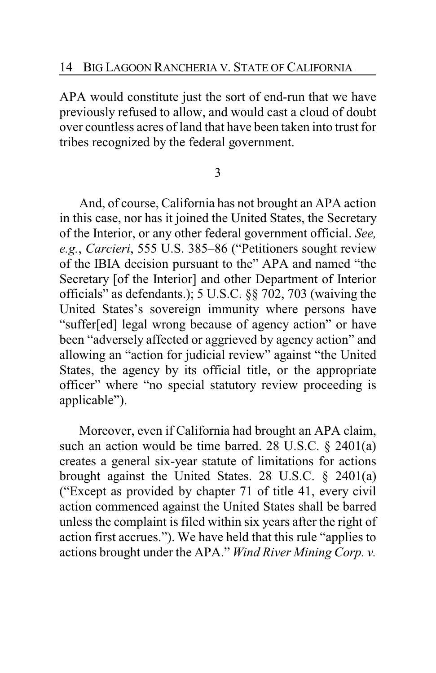APA would constitute just the sort of end-run that we have previously refused to allow, and would cast a cloud of doubt over countless acres of land that have been taken into trust for tribes recognized by the federal government.

3

And, of course, California has not brought an APA action in this case, nor has it joined the United States, the Secretary of the Interior, or any other federal government official. *See, e.g.*, *Carcieri*, 555 U.S. 385–86 ("Petitioners sought review of the IBIA decision pursuant to the" APA and named "the Secretary [of the Interior] and other Department of Interior officials" as defendants.); 5 U.S.C. §§ 702, 703 (waiving the United States's sovereign immunity where persons have "suffer[ed] legal wrong because of agency action" or have been "adversely affected or aggrieved by agency action" and allowing an "action for judicial review" against "the United States, the agency by its official title, or the appropriate officer" where "no special statutory review proceeding is applicable").

Moreover, even if California had brought an APA claim, such an action would be time barred. 28 U.S.C. § 2401(a) creates a general six-year statute of limitations for actions brought against the United States. 28 U.S.C. § 2401(a) ("Except as provided by chapter 71 of title 41, every civil action commenced against the United States shall be barred unless the complaint is filed within six years after the right of action first accrues."). We have held that this rule "applies to actions brought under the APA." *Wind River Mining Corp. v.*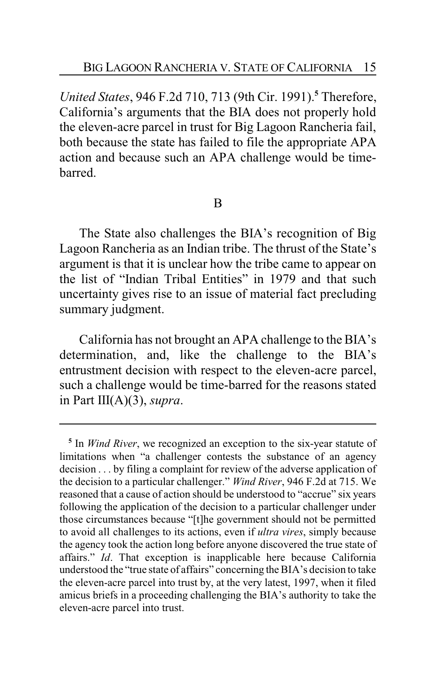*United States*, 946 F.2d 710, 713 (9th Cir. 1991).**<sup>5</sup>** Therefore, California's arguments that the BIA does not properly hold the eleven-acre parcel in trust for Big Lagoon Rancheria fail, both because the state has failed to file the appropriate APA action and because such an APA challenge would be timebarred.

## B

The State also challenges the BIA's recognition of Big Lagoon Rancheria as an Indian tribe. The thrust of the State's argument is that it is unclear how the tribe came to appear on the list of "Indian Tribal Entities" in 1979 and that such uncertainty gives rise to an issue of material fact precluding summary judgment.

California has not brought an APA challenge to the BIA's determination, and, like the challenge to the BIA's entrustment decision with respect to the eleven-acre parcel, such a challenge would be time-barred for the reasons stated in Part III(A)(3), *supra*.

**<sup>5</sup>** In *Wind River*, we recognized an exception to the six-year statute of limitations when "a challenger contests the substance of an agency decision . . . by filing a complaint for review of the adverse application of the decision to a particular challenger." *Wind River*, 946 F.2d at 715. We reasoned that a cause of action should be understood to "accrue" six years following the application of the decision to a particular challenger under those circumstances because "[t]he government should not be permitted to avoid all challenges to its actions, even if *ultra vires*, simply because the agency took the action long before anyone discovered the true state of affairs." *Id*. That exception is inapplicable here because California understood the "true state of affairs" concerning the BIA's decision to take the eleven-acre parcel into trust by, at the very latest, 1997, when it filed amicus briefs in a proceeding challenging the BIA's authority to take the eleven-acre parcel into trust.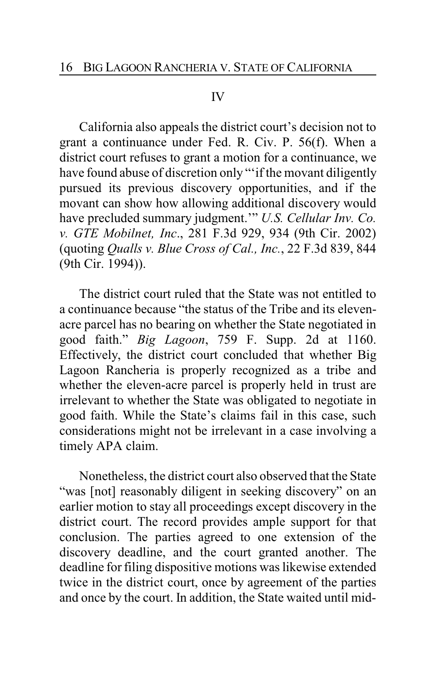#### IV

California also appeals the district court's decision not to grant a continuance under Fed. R. Civ. P. 56(f). When a district court refuses to grant a motion for a continuance, we have found abuse of discretion only "'if the movant diligently pursued its previous discovery opportunities, and if the movant can show how allowing additional discovery would have precluded summary judgment.'" *U.S. Cellular Inv. Co. v. GTE Mobilnet, Inc*., 281 F.3d 929, 934 (9th Cir. 2002) (quoting *Qualls v. Blue Cross of Cal., Inc.*, 22 F.3d 839, 844 (9th Cir. 1994)).

The district court ruled that the State was not entitled to a continuance because "the status of the Tribe and its elevenacre parcel has no bearing on whether the State negotiated in good faith." *Big Lagoon*, 759 F. Supp. 2d at 1160. Effectively, the district court concluded that whether Big Lagoon Rancheria is properly recognized as a tribe and whether the eleven-acre parcel is properly held in trust are irrelevant to whether the State was obligated to negotiate in good faith. While the State's claims fail in this case, such considerations might not be irrelevant in a case involving a timely APA claim.

Nonetheless, the district court also observed that the State "was [not] reasonably diligent in seeking discovery" on an earlier motion to stay all proceedings except discovery in the district court. The record provides ample support for that conclusion. The parties agreed to one extension of the discovery deadline, and the court granted another. The deadline for filing dispositive motions was likewise extended twice in the district court, once by agreement of the parties and once by the court. In addition, the State waited until mid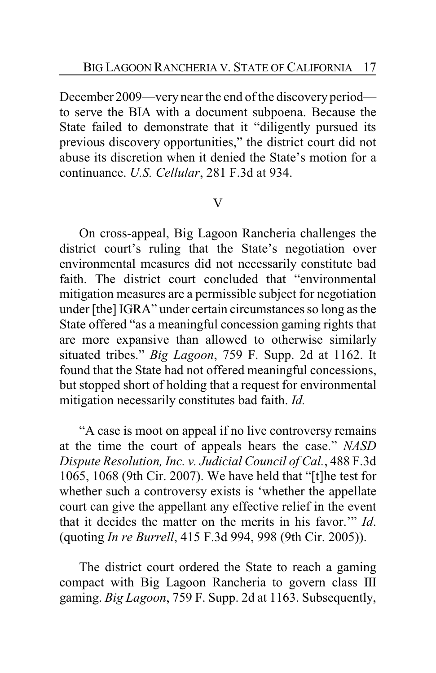December 2009—very near the end of the discovery period to serve the BIA with a document subpoena. Because the State failed to demonstrate that it "diligently pursued its previous discovery opportunities," the district court did not abuse its discretion when it denied the State's motion for a continuance. *U.S. Cellular*, 281 F.3d at 934.

# V

On cross-appeal, Big Lagoon Rancheria challenges the district court's ruling that the State's negotiation over environmental measures did not necessarily constitute bad faith. The district court concluded that "environmental mitigation measures are a permissible subject for negotiation under [the] IGRA" under certain circumstances so long as the State offered "as a meaningful concession gaming rights that are more expansive than allowed to otherwise similarly situated tribes." *Big Lagoon*, 759 F. Supp. 2d at 1162. It found that the State had not offered meaningful concessions, but stopped short of holding that a request for environmental mitigation necessarily constitutes bad faith. *Id.*

"A case is moot on appeal if no live controversy remains at the time the court of appeals hears the case." *NASD Dispute Resolution, Inc. v. Judicial Council of Cal.*, 488 F.3d 1065, 1068 (9th Cir. 2007). We have held that "[t]he test for whether such a controversy exists is 'whether the appellate court can give the appellant any effective relief in the event that it decides the matter on the merits in his favor.'" *Id*. (quoting *In re Burrell*, 415 F.3d 994, 998 (9th Cir. 2005)).

The district court ordered the State to reach a gaming compact with Big Lagoon Rancheria to govern class III gaming. *Big Lagoon*, 759 F. Supp. 2d at 1163. Subsequently,